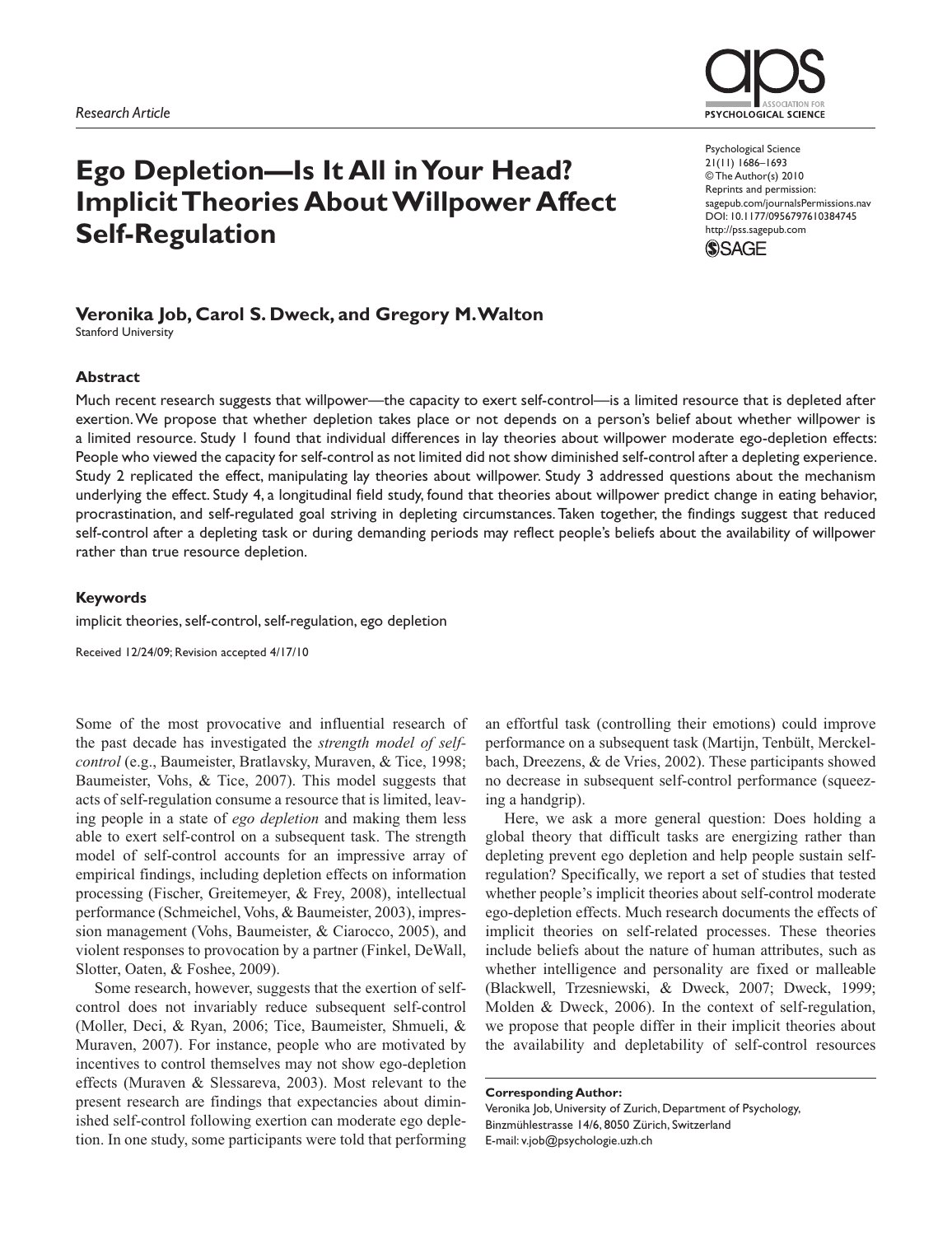# **Ego Depletion—Is It All in Your Head? Implicit Theories About Willpower Affect Self-Regulation**

# **Veronika Job, Carol S. Dweck, and Gregory M. Walton**

Stanford University

#### **Abstract**

Much recent research suggests that willpower—the capacity to exert self-control—is a limited resource that is depleted after exertion. We propose that whether depletion takes place or not depends on a person's belief about whether willpower is a limited resource. Study 1 found that individual differences in lay theories about willpower moderate ego-depletion effects: People who viewed the capacity for self-control as not limited did not show diminished self-control after a depleting experience. Study 2 replicated the effect, manipulating lay theories about willpower. Study 3 addressed questions about the mechanism underlying the effect. Study 4, a longitudinal field study, found that theories about willpower predict change in eating behavior, procrastination, and self-regulated goal striving in depleting circumstances. Taken together, the findings suggest that reduced self-control after a depleting task or during demanding periods may reflect people's beliefs about the availability of willpower rather than true resource depletion.

#### **Keywords**

implicit theories, self-control, self-regulation, ego depletion

Received 12/24/09; Revision accepted 4/17/10

Some of the most provocative and influential research of the past decade has investigated the *strength model of selfcontrol* (e.g., Baumeister, Bratlavsky, Muraven, & Tice, 1998; Baumeister, Vohs, & Tice, 2007). This model suggests that acts of self-regulation consume a resource that is limited, leaving people in a state of *ego depletion* and making them less able to exert self-control on a subsequent task. The strength model of self-control accounts for an impressive array of empirical findings, including depletion effects on information processing (Fischer, Greitemeyer, & Frey, 2008), intellectual performance (Schmeichel, Vohs, & Baumeister, 2003), impression management (Vohs, Baumeister, & Ciarocco, 2005), and violent responses to provocation by a partner (Finkel, DeWall, Slotter, Oaten, & Foshee, 2009).

Some research, however, suggests that the exertion of selfcontrol does not invariably reduce subsequent self-control (Moller, Deci, & Ryan, 2006; Tice, Baumeister, Shmueli, & Muraven, 2007). For instance, people who are motivated by incentives to control themselves may not show ego-depletion effects (Muraven & Slessareva, 2003). Most relevant to the present research are findings that expectancies about diminished self-control following exertion can moderate ego depletion. In one study, some participants were told that performing an effortful task (controlling their emotions) could improve performance on a subsequent task (Martijn, Tenbült, Merckelbach, Dreezens, & de Vries, 2002). These participants showed no decrease in subsequent self-control performance (squeezing a handgrip).

Here, we ask a more general question: Does holding a global theory that difficult tasks are energizing rather than depleting prevent ego depletion and help people sustain selfregulation? Specifically, we report a set of studies that tested whether people's implicit theories about self-control moderate ego-depletion effects. Much research documents the effects of implicit theories on self-related processes. These theories include beliefs about the nature of human attributes, such as whether intelligence and personality are fixed or malleable (Blackwell, Trzesniewski, & Dweck, 2007; Dweck, 1999; Molden & Dweck, 2006). In the context of self-regulation, we propose that people differ in their implicit theories about the availability and depletability of self-control resources

**Corresponding Author:** Veronika Job, University of Zurich, Department of Psychology, Binzmühlestrasse 14/6, 8050 Zürich, Switzerland E-mail: v.job@psychologie.uzh.ch



Psychological Science 21(11) 1686–1693 © The Author(s) 2010 Reprints and permission: sagepub.com/journalsPermissions.nav DOI: 10.1177/0956797610384745 http://pss.sagepub.com

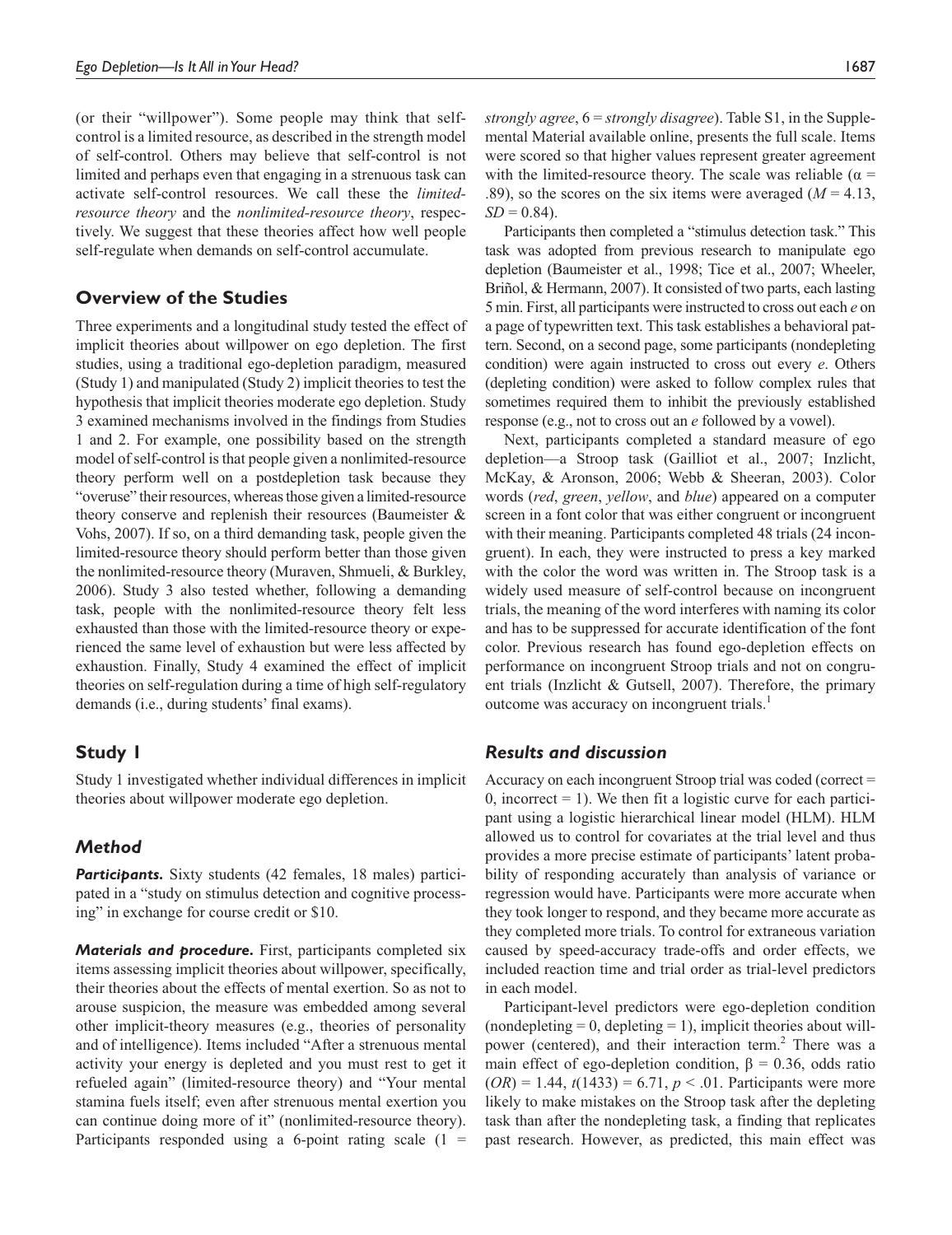(or their "willpower"). Some people may think that selfcontrol is a limited resource, as described in the strength model of self-control. Others may believe that self-control is not limited and perhaps even that engaging in a strenuous task can activate self-control resources. We call these the *limitedresource theory* and the *nonlimited-resource theory*, respectively. We suggest that these theories affect how well people self-regulate when demands on self-control accumulate.

# **Overview of the Studies**

Three experiments and a longitudinal study tested the effect of implicit theories about willpower on ego depletion. The first studies, using a traditional ego-depletion paradigm, measured (Study 1) and manipulated (Study 2) implicit theories to test the hypothesis that implicit theories moderate ego depletion. Study 3 examined mechanisms involved in the findings from Studies 1 and 2. For example, one possibility based on the strength model of self-control is that people given a nonlimited-resource theory perform well on a postdepletion task because they "overuse" their resources, whereas those given a limited-resource theory conserve and replenish their resources (Baumeister & Vohs, 2007). If so, on a third demanding task, people given the limited-resource theory should perform better than those given the nonlimited-resource theory (Muraven, Shmueli, & Burkley, 2006). Study 3 also tested whether, following a demanding task, people with the nonlimited-resource theory felt less exhausted than those with the limited-resource theory or experienced the same level of exhaustion but were less affected by exhaustion. Finally, Study 4 examined the effect of implicit theories on self-regulation during a time of high self-regulatory demands (i.e., during students' final exams).

# **Study 1**

Study 1 investigated whether individual differences in implicit theories about willpower moderate ego depletion.

# *Method*

**Participants.** Sixty students (42 females, 18 males) participated in a "study on stimulus detection and cognitive processing" in exchange for course credit or \$10.

*Materials and procedure.* First, participants completed six items assessing implicit theories about willpower, specifically, their theories about the effects of mental exertion. So as not to arouse suspicion, the measure was embedded among several other implicit-theory measures (e.g., theories of personality and of intelligence). Items included "After a strenuous mental activity your energy is depleted and you must rest to get it refueled again" (limited-resource theory) and "Your mental stamina fuels itself; even after strenuous mental exertion you can continue doing more of it" (nonlimited-resource theory). Participants responded using a 6-point rating scale  $(1 =$ 

*strongly agree*, 6 = *strongly disagree*). Table S1, in the Supplemental Material available online, presents the full scale. Items were scored so that higher values represent greater agreement with the limited-resource theory. The scale was reliable ( $\alpha$  = .89), so the scores on the six items were averaged  $(M = 4.13,$  $SD = 0.84$ .

Participants then completed a "stimulus detection task." This task was adopted from previous research to manipulate ego depletion (Baumeister et al., 1998; Tice et al., 2007; Wheeler, Briñol, & Hermann, 2007). It consisted of two parts, each lasting 5 min. First, all participants were instructed to cross out each *e* on a page of typewritten text. This task establishes a behavioral pattern. Second, on a second page, some participants (nondepleting condition) were again instructed to cross out every *e*. Others (depleting condition) were asked to follow complex rules that sometimes required them to inhibit the previously established response (e.g., not to cross out an *e* followed by a vowel).

Next, participants completed a standard measure of ego depletion—a Stroop task (Gailliot et al., 2007; Inzlicht, McKay, & Aronson, 2006; Webb & Sheeran, 2003). Color words (*red*, *green*, *yellow*, and *blue*) appeared on a computer screen in a font color that was either congruent or incongruent with their meaning. Participants completed 48 trials (24 incongruent). In each, they were instructed to press a key marked with the color the word was written in. The Stroop task is a widely used measure of self-control because on incongruent trials, the meaning of the word interferes with naming its color and has to be suppressed for accurate identification of the font color. Previous research has found ego-depletion effects on performance on incongruent Stroop trials and not on congruent trials (Inzlicht & Gutsell, 2007). Therefore, the primary outcome was accuracy on incongruent trials.<sup>1</sup>

### *Results and discussion*

Accuracy on each incongruent Stroop trial was coded (correct = 0, incorrect  $= 1$ ). We then fit a logistic curve for each participant using a logistic hierarchical linear model (HLM). HLM allowed us to control for covariates at the trial level and thus provides a more precise estimate of participants' latent probability of responding accurately than analysis of variance or regression would have. Participants were more accurate when they took longer to respond, and they became more accurate as they completed more trials. To control for extraneous variation caused by speed-accuracy trade-offs and order effects, we included reaction time and trial order as trial-level predictors in each model.

Participant-level predictors were ego-depletion condition  $(nondepleting = 0, depleting = 1), implicit theories about will$ power (centered), and their interaction term.<sup>2</sup> There was a main effect of ego-depletion condition,  $\beta = 0.36$ , odds ratio  $(OR) = 1.44$ ,  $t(1433) = 6.71$ ,  $p < .01$ . Participants were more likely to make mistakes on the Stroop task after the depleting task than after the nondepleting task, a finding that replicates past research. However, as predicted, this main effect was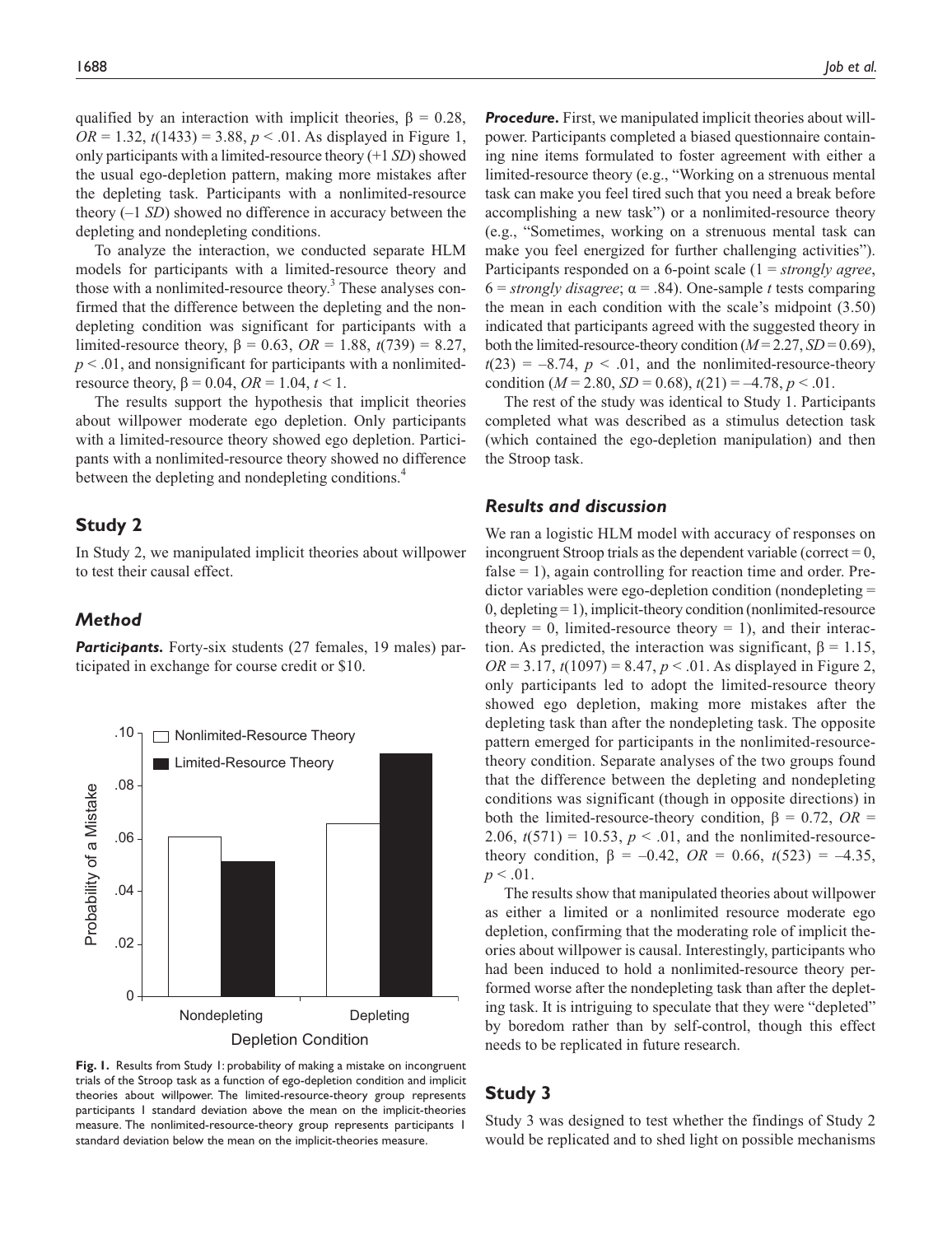qualified by an interaction with implicit theories,  $\beta = 0.28$ ,  $OR = 1.32$ ,  $t(1433) = 3.88$ ,  $p < .01$ . As displayed in Figure 1, only participants with a limited-resource theory (+1 *SD*) showed the usual ego-depletion pattern, making more mistakes after the depleting task. Participants with a nonlimited-resource theory (–1 *SD*) showed no difference in accuracy between the depleting and nondepleting conditions.

To analyze the interaction, we conducted separate HLM models for participants with a limited-resource theory and those with a nonlimited-resource theory.<sup>3</sup> These analyses confirmed that the difference between the depleting and the nondepleting condition was significant for participants with a limited-resource theory, β = 0.63, *OR* = 1.88, *t*(739) = 8.27,  $p < .01$ , and nonsignificant for participants with a nonlimitedresource theory,  $β = 0.04$ ,  $OR = 1.04$ ,  $t < 1$ .

The results support the hypothesis that implicit theories about willpower moderate ego depletion. Only participants with a limited-resource theory showed ego depletion. Participants with a nonlimited-resource theory showed no difference between the depleting and nondepleting conditions.<sup>4</sup>

#### **Study 2**

In Study 2, we manipulated implicit theories about willpower to test their causal effect.

# *Method*



Participants. Forty-six students (27 females, 19 males) participated in exchange for course credit or \$10.

**Fig. 1.** Results from Study 1: probability of making a mistake on incongruent trials of the Stroop task as a function of ego-depletion condition and implicit theories about willpower. The limited-resource-theory group represents participants 1 standard deviation above the mean on the implicit-theories measure. The nonlimited-resource-theory group represents participants 1 standard deviation below the mean on the implicit-theories measure.

**Procedure.** First, we manipulated implicit theories about willpower. Participants completed a biased questionnaire containing nine items formulated to foster agreement with either a limited-resource theory (e.g., "Working on a strenuous mental task can make you feel tired such that you need a break before accomplishing a new task") or a nonlimited-resource theory (e.g., "Sometimes, working on a strenuous mental task can make you feel energized for further challenging activities"). Participants responded on a 6-point scale (1 = *strongly agree*,  $6 = \text{strongly disagree}; \alpha = .84$ ). One-sample *t* tests comparing the mean in each condition with the scale's midpoint (3.50) indicated that participants agreed with the suggested theory in both the limited-resource-theory condition  $(M = 2.27, SD = 0.69)$ ,  $t(23) = -8.74$ ,  $p < .01$ , and the nonlimited-resource-theory condition ( $M = 2.80$ ,  $SD = 0.68$ ),  $t(21) = -4.78$ ,  $p < .01$ .

The rest of the study was identical to Study 1. Participants completed what was described as a stimulus detection task (which contained the ego-depletion manipulation) and then the Stroop task.

#### *Results and discussion*

We ran a logistic HLM model with accuracy of responses on incongruent Stroop trials as the dependent variable (correct  $= 0$ , false  $= 1$ ), again controlling for reaction time and order. Predictor variables were ego-depletion condition (nondepleting = 0, depleting = 1), implicit-theory condition (nonlimited-resource theory  $= 0$ , limited-resource theory  $= 1$ ), and their interaction. As predicted, the interaction was significant,  $\beta = 1.15$ ,  $OR = 3.17$ ,  $t(1097) = 8.47$ ,  $p < .01$ . As displayed in Figure 2, only participants led to adopt the limited-resource theory showed ego depletion, making more mistakes after the depleting task than after the nondepleting task. The opposite pattern emerged for participants in the nonlimited-resourcetheory condition. Separate analyses of the two groups found that the difference between the depleting and nondepleting conditions was significant (though in opposite directions) in both the limited-resource-theory condition,  $\beta = 0.72$ ,  $OR =$ 2.06,  $t(571) = 10.53$ ,  $p < .01$ , and the nonlimited-resourcetheory condition,  $\beta = -0.42$ ,  $OR = 0.66$ ,  $t(523) = -4.35$ ,  $p < .01$ .

The results show that manipulated theories about willpower as either a limited or a nonlimited resource moderate ego depletion, confirming that the moderating role of implicit theories about willpower is causal. Interestingly, participants who had been induced to hold a nonlimited-resource theory performed worse after the nondepleting task than after the depleting task. It is intriguing to speculate that they were "depleted" by boredom rather than by self-control, though this effect needs to be replicated in future research.

# **Study 3**

Study 3 was designed to test whether the findings of Study 2 would be replicated and to shed light on possible mechanisms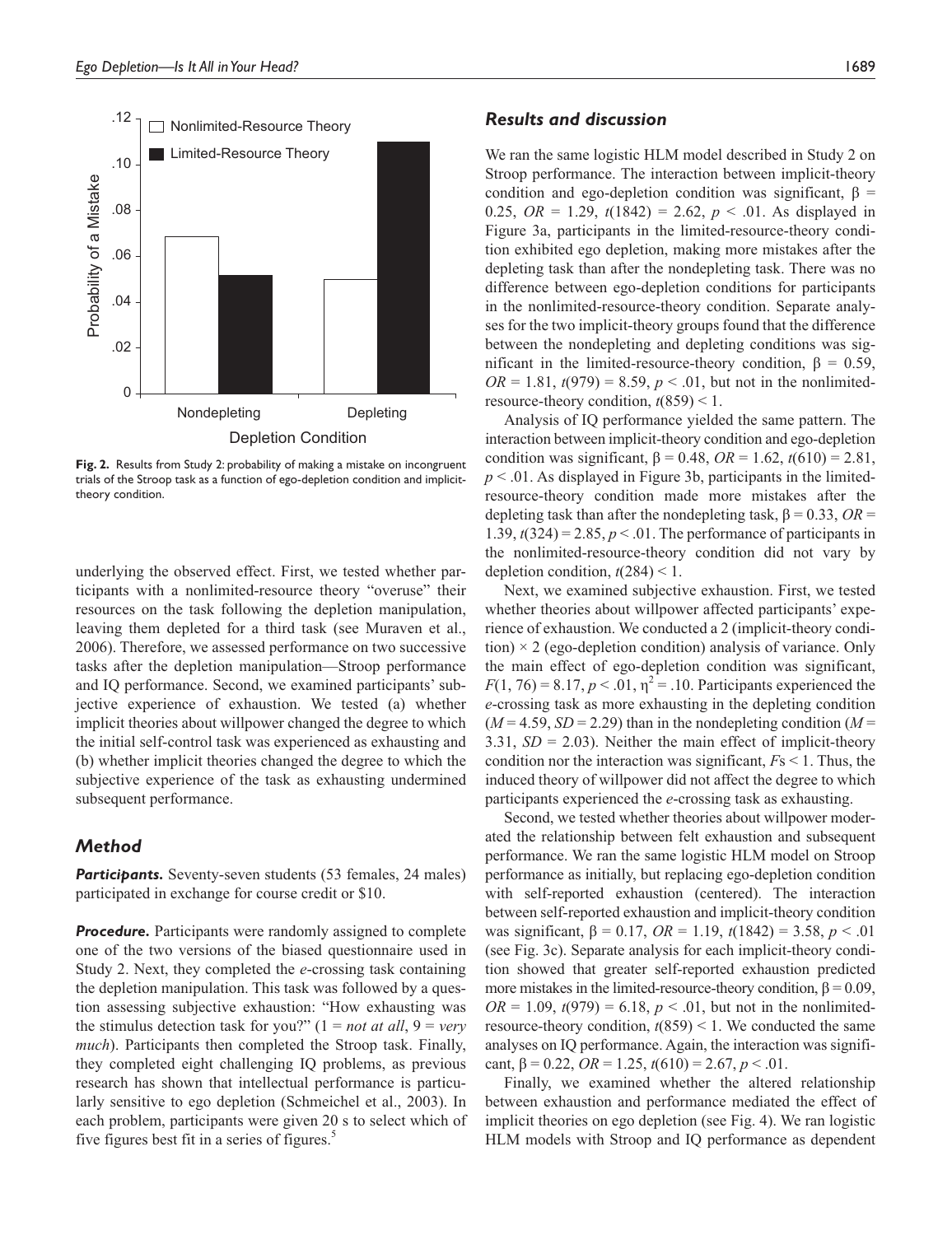

**Fig. 2.** Results from Study 2: probability of making a mistake on incongruent trials of the Stroop task as a function of ego-depletion condition and implicittheory condition.

underlying the observed effect. First, we tested whether participants with a nonlimited-resource theory "overuse" their resources on the task following the depletion manipulation, leaving them depleted for a third task (see Muraven et al., 2006). Therefore, we assessed performance on two successive tasks after the depletion manipulation—Stroop performance and IQ performance. Second, we examined participants' subjective experience of exhaustion. We tested (a) whether implicit theories about willpower changed the degree to which the initial self-control task was experienced as exhausting and (b) whether implicit theories changed the degree to which the subjective experience of the task as exhausting undermined subsequent performance.

# *Method*

Participants. Seventy-seven students (53 females, 24 males) participated in exchange for course credit or \$10.

**Procedure.** Participants were randomly assigned to complete one of the two versions of the biased questionnaire used in Study 2. Next, they completed the *e*-crossing task containing the depletion manipulation. This task was followed by a question assessing subjective exhaustion: "How exhausting was the stimulus detection task for you?"  $(1 = not at all, 9 = very$ *much*). Participants then completed the Stroop task. Finally, they completed eight challenging IQ problems, as previous research has shown that intellectual performance is particularly sensitive to ego depletion (Schmeichel et al., 2003). In each problem, participants were given 20 s to select which of five figures best fit in a series of figures.<sup>5</sup>

# *Results and discussion*

We ran the same logistic HLM model described in Study 2 on Stroop performance. The interaction between implicit-theory condition and ego-depletion condition was significant,  $\beta$  = 0.25, *OR* = 1.29,  $t(1842) = 2.62$ ,  $p < .01$ . As displayed in Figure 3a, participants in the limited-resource-theory condition exhibited ego depletion, making more mistakes after the depleting task than after the nondepleting task. There was no difference between ego-depletion conditions for participants in the nonlimited-resource-theory condition. Separate analyses for the two implicit-theory groups found that the difference between the nondepleting and depleting conditions was significant in the limited-resource-theory condition,  $β = 0.59$ ,  $OR = 1.81$ ,  $t(979) = 8.59$ ,  $p < .01$ , but not in the nonlimitedresource-theory condition,  $t(859) < 1$ .

Analysis of IQ performance yielded the same pattern. The interaction between implicit-theory condition and ego-depletion condition was significant, β = 0.48, *OR* = 1.62, *t*(610) = 2.81,  $p < 0.01$ . As displayed in Figure 3b, participants in the limitedresource-theory condition made more mistakes after the depleting task than after the nondepleting task,  $\beta = 0.33$ ,  $OR =$ 1.39,  $t(324) = 2.85$ ,  $p < 0.01$ . The performance of participants in the nonlimited-resource-theory condition did not vary by depletion condition,  $t(284) < 1$ .

Next, we examined subjective exhaustion. First, we tested whether theories about willpower affected participants' experience of exhaustion. We conducted a 2 (implicit-theory condition)  $\times$  2 (ego-depletion condition) analysis of variance. Only the main effect of ego-depletion condition was significant,  $F(1, 76) = 8.17, p < .01, \eta^2 = .10$ . Participants experienced the *e*-crossing task as more exhausting in the depleting condition  $(M = 4.59, SD = 2.29)$  than in the nondepleting condition  $(M = 1.59)$ 3.31, *SD* = 2.03). Neither the main effect of implicit-theory condition nor the interaction was significant, *F*s < 1. Thus, the induced theory of willpower did not affect the degree to which participants experienced the *e*-crossing task as exhausting.

Second, we tested whether theories about willpower moderated the relationship between felt exhaustion and subsequent performance. We ran the same logistic HLM model on Stroop performance as initially, but replacing ego-depletion condition with self-reported exhaustion (centered). The interaction between self-reported exhaustion and implicit-theory condition was significant, β = 0.17, *OR* = 1.19, *t*(1842) = 3.58, *p* < .01 (see Fig. 3c). Separate analysis for each implicit-theory condition showed that greater self-reported exhaustion predicted more mistakes in the limited-resource-theory condition,  $\beta = 0.09$ ,  $OR = 1.09$ ,  $t(979) = 6.18$ ,  $p < .01$ , but not in the nonlimitedresource-theory condition,  $t(859) < 1$ . We conducted the same analyses on IQ performance. Again, the interaction was significant,  $\beta = 0.22$ ,  $OR = 1.25$ ,  $t(610) = 2.67$ ,  $p < .01$ .

Finally, we examined whether the altered relationship between exhaustion and performance mediated the effect of implicit theories on ego depletion (see Fig. 4). We ran logistic HLM models with Stroop and IQ performance as dependent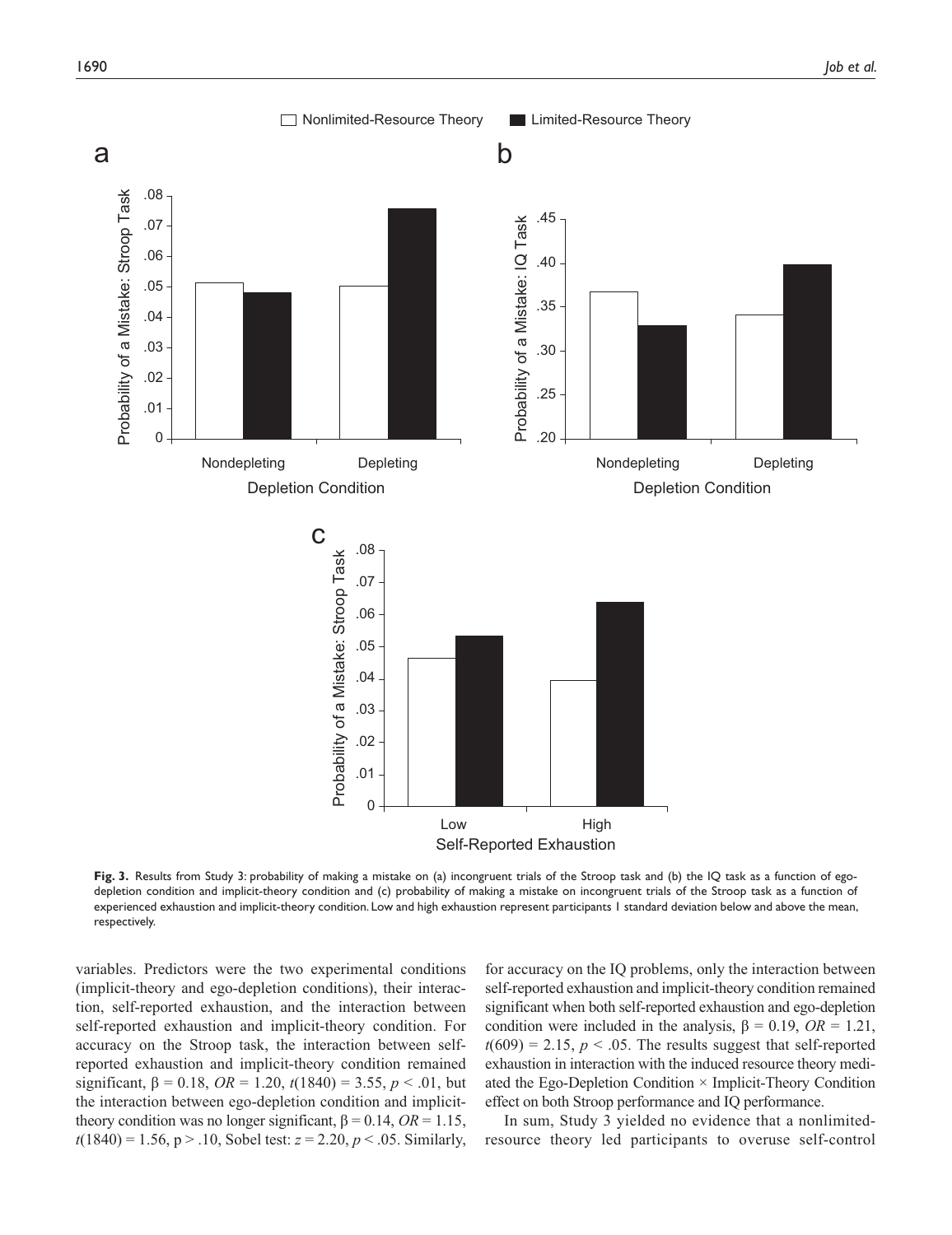

**Fig. 3.** Results from Study 3: probability of making a mistake on (a) incongruent trials of the Stroop task and (b) the IQ task as a function of egodepletion condition and implicit-theory condition and (c) probability of making a mistake on incongruent trials of the Stroop task as a function of experienced exhaustion and implicit-theory condition. Low and high exhaustion represent participants 1 standard deviation below and above the mean, respectively.

variables. Predictors were the two experimental conditions (implicit-theory and ego-depletion conditions), their interaction, self-reported exhaustion, and the interaction between self-reported exhaustion and implicit-theory condition. For accuracy on the Stroop task, the interaction between selfreported exhaustion and implicit-theory condition remained significant,  $\beta = 0.18$ ,  $OR = 1.20$ ,  $t(1840) = 3.55$ ,  $p < .01$ , but the interaction between ego-depletion condition and implicittheory condition was no longer significant,  $\beta = 0.14$ ,  $OR = 1.15$ ,  $t(1840) = 1.56$ ,  $p > .10$ , Sobel test:  $z = 2.20$ ,  $p < .05$ . Similarly,

for accuracy on the IQ problems, only the interaction between self-reported exhaustion and implicit-theory condition remained significant when both self-reported exhaustion and ego-depletion condition were included in the analysis,  $\beta = 0.19$ ,  $OR = 1.21$ ,  $t(609) = 2.15$ ,  $p < .05$ . The results suggest that self-reported exhaustion in interaction with the induced resource theory mediated the Ego-Depletion Condition  $\times$  Implicit-Theory Condition effect on both Stroop performance and IQ performance.

In sum, Study 3 yielded no evidence that a nonlimitedresource theory led participants to overuse self-control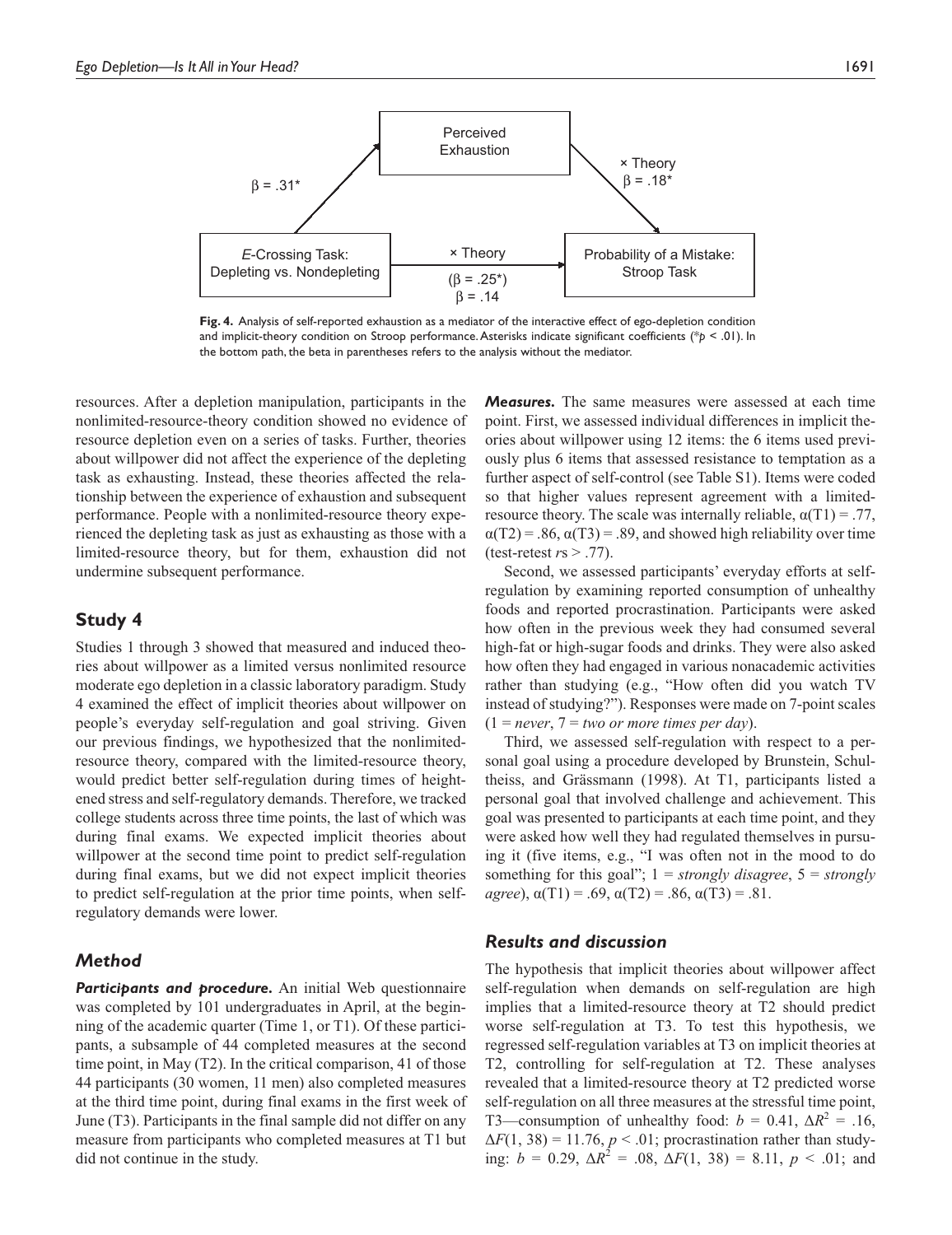

**Fig. 4.** Analysis of self-reported exhaustion as a mediator of the interactive effect of ego-depletion condition and implicit-theory condition on Stroop performance. Asterisks indicate significant coefficients (\**p* < .01). In the bottom path, the beta in parentheses refers to the analysis without the mediator.

resources. After a depletion manipulation, participants in the nonlimited-resource-theory condition showed no evidence of resource depletion even on a series of tasks. Further, theories about willpower did not affect the experience of the depleting task as exhausting. Instead, these theories affected the relationship between the experience of exhaustion and subsequent performance. People with a nonlimited-resource theory experienced the depleting task as just as exhausting as those with a limited-resource theory, but for them, exhaustion did not undermine subsequent performance.

# **Study 4**

Studies 1 through 3 showed that measured and induced theories about willpower as a limited versus nonlimited resource moderate ego depletion in a classic laboratory paradigm. Study 4 examined the effect of implicit theories about willpower on people's everyday self-regulation and goal striving. Given our previous findings, we hypothesized that the nonlimitedresource theory, compared with the limited-resource theory, would predict better self-regulation during times of heightened stress and self-regulatory demands. Therefore, we tracked college students across three time points, the last of which was during final exams. We expected implicit theories about willpower at the second time point to predict self-regulation during final exams, but we did not expect implicit theories to predict self-regulation at the prior time points, when selfregulatory demands were lower.

# *Method*

**Participants and procedure.** An initial Web questionnaire was completed by 101 undergraduates in April, at the beginning of the academic quarter (Time 1, or T1). Of these participants, a subsample of 44 completed measures at the second time point, in May (T2). In the critical comparison, 41 of those 44 participants (30 women, 11 men) also completed measures at the third time point, during final exams in the first week of June (T3). Participants in the final sample did not differ on any measure from participants who completed measures at T1 but did not continue in the study.

*Measures.* The same measures were assessed at each time point. First, we assessed individual differences in implicit theories about willpower using 12 items: the 6 items used previously plus 6 items that assessed resistance to temptation as a further aspect of self-control (see Table S1). Items were coded so that higher values represent agreement with a limitedresource theory. The scale was internally reliable,  $\alpha(T1) = .77$ ,  $\alpha(T2) = .86$ ,  $\alpha(T3) = .89$ , and showed high reliability over time (test-retest *r*s > .77).

Second, we assessed participants' everyday efforts at selfregulation by examining reported consumption of unhealthy foods and reported procrastination. Participants were asked how often in the previous week they had consumed several high-fat or high-sugar foods and drinks. They were also asked how often they had engaged in various nonacademic activities rather than studying (e.g., "How often did you watch TV instead of studying?"). Responses were made on 7-point scales  $(1 = never, 7 = two or more times per day).$ 

Third, we assessed self-regulation with respect to a personal goal using a procedure developed by Brunstein, Schultheiss, and Grässmann (1998). At T1, participants listed a personal goal that involved challenge and achievement. This goal was presented to participants at each time point, and they were asked how well they had regulated themselves in pursuing it (five items, e.g., "I was often not in the mood to do something for this goal"; 1 = *strongly disagree*, 5 = *strongly agree*),  $\alpha(T1) = .69$ ,  $\alpha(T2) = .86$ ,  $\alpha(T3) = .81$ .

#### *Results and discussion*

The hypothesis that implicit theories about willpower affect self-regulation when demands on self-regulation are high implies that a limited-resource theory at T2 should predict worse self-regulation at T3. To test this hypothesis, we regressed self-regulation variables at T3 on implicit theories at T2, controlling for self-regulation at T2. These analyses revealed that a limited-resource theory at T2 predicted worse self-regulation on all three measures at the stressful time point, T3—consumption of unhealthy food:  $b = 0.41$ ,  $\Delta R^2 = .16$ ,  $\Delta F(1, 38) = 11.76$ ,  $p < .01$ ; procrastination rather than studying:  $b = 0.29$ ,  $\Delta R^2 = .08$ ,  $\Delta F(1, 38) = 8.11$ ,  $p < .01$ ; and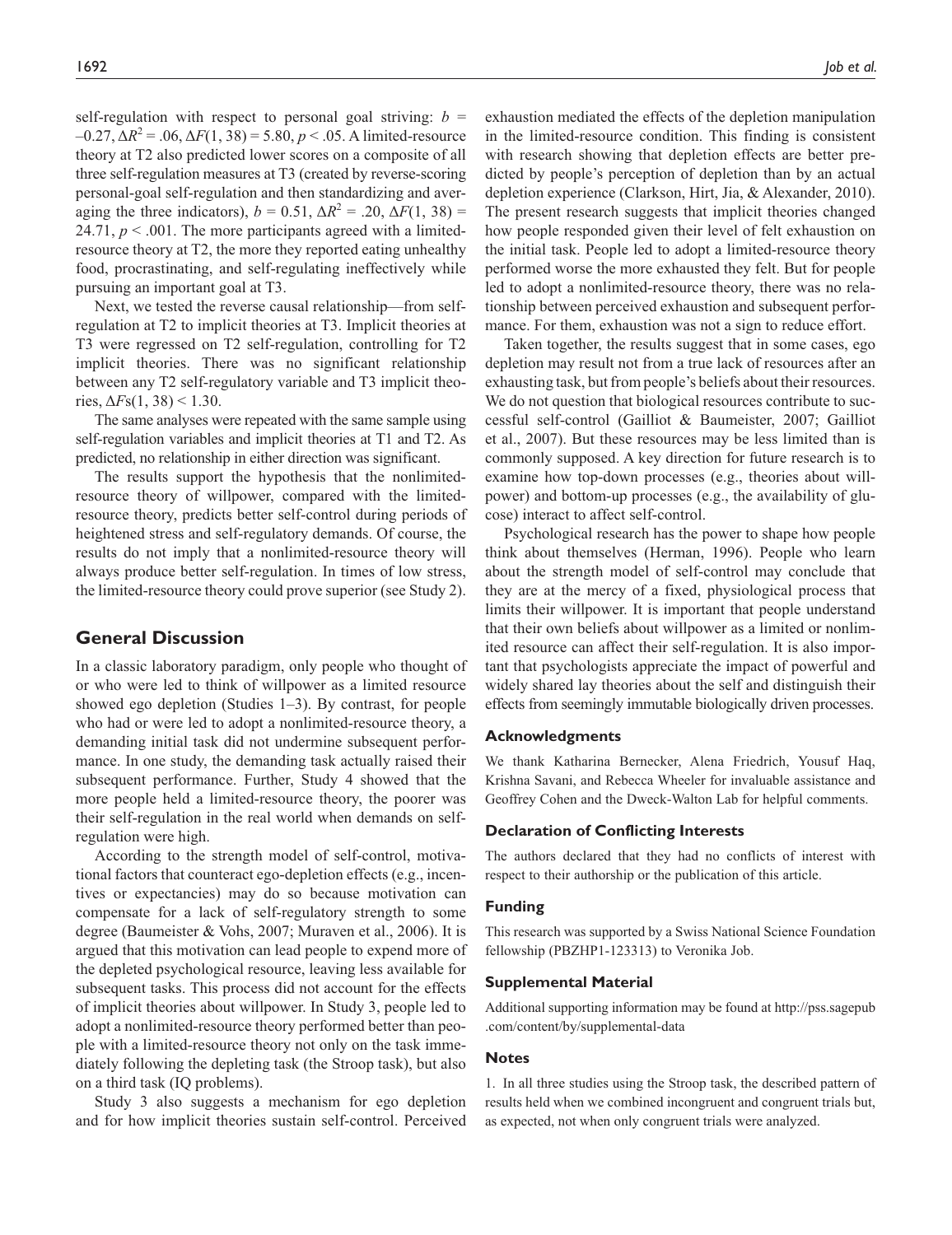self-regulation with respect to personal goal striving:  $b =$  $-0.27$ ,  $\Delta R^2 = .06$ ,  $\Delta F(1, 38) = 5.80$ ,  $p < .05$ . A limited-resource theory at T2 also predicted lower scores on a composite of all three self-regulation measures at T3 (created by reverse-scoring personal-goal self-regulation and then standardizing and averaging the three indicators),  $b = 0.51$ ,  $\Delta R^2 = .20$ ,  $\Delta F(1, 38) =$ 24.71,  $p < .001$ . The more participants agreed with a limitedresource theory at T2, the more they reported eating unhealthy food, procrastinating, and self-regulating ineffectively while pursuing an important goal at T3.

Next, we tested the reverse causal relationship—from selfregulation at T2 to implicit theories at T3. Implicit theories at T3 were regressed on T2 self-regulation, controlling for T2 implicit theories. There was no significant relationship between any T2 self-regulatory variable and T3 implicit theories,  $\Delta F$ s(1, 38) < 1.30.

The same analyses were repeated with the same sample using self-regulation variables and implicit theories at T1 and T2. As predicted, no relationship in either direction was significant.

The results support the hypothesis that the nonlimitedresource theory of willpower, compared with the limitedresource theory, predicts better self-control during periods of heightened stress and self-regulatory demands. Of course, the results do not imply that a nonlimited-resource theory will always produce better self-regulation. In times of low stress, the limited-resource theory could prove superior (see Study 2).

## **General Discussion**

In a classic laboratory paradigm, only people who thought of or who were led to think of willpower as a limited resource showed ego depletion (Studies 1–3). By contrast, for people who had or were led to adopt a nonlimited-resource theory, a demanding initial task did not undermine subsequent performance. In one study, the demanding task actually raised their subsequent performance. Further, Study 4 showed that the more people held a limited-resource theory, the poorer was their self-regulation in the real world when demands on selfregulation were high.

According to the strength model of self-control, motivational factors that counteract ego-depletion effects (e.g., incentives or expectancies) may do so because motivation can compensate for a lack of self-regulatory strength to some degree (Baumeister & Vohs, 2007; Muraven et al., 2006). It is argued that this motivation can lead people to expend more of the depleted psychological resource, leaving less available for subsequent tasks. This process did not account for the effects of implicit theories about willpower. In Study 3, people led to adopt a nonlimited-resource theory performed better than people with a limited-resource theory not only on the task immediately following the depleting task (the Stroop task), but also on a third task (IQ problems).

Study 3 also suggests a mechanism for ego depletion and for how implicit theories sustain self-control. Perceived exhaustion mediated the effects of the depletion manipulation in the limited-resource condition. This finding is consistent with research showing that depletion effects are better predicted by people's perception of depletion than by an actual depletion experience (Clarkson, Hirt, Jia, & Alexander, 2010). The present research suggests that implicit theories changed how people responded given their level of felt exhaustion on the initial task. People led to adopt a limited-resource theory performed worse the more exhausted they felt. But for people led to adopt a nonlimited-resource theory, there was no relationship between perceived exhaustion and subsequent performance. For them, exhaustion was not a sign to reduce effort.

Taken together, the results suggest that in some cases, ego depletion may result not from a true lack of resources after an exhausting task, but from people's beliefs about their resources. We do not question that biological resources contribute to successful self-control (Gailliot & Baumeister, 2007; Gailliot et al., 2007). But these resources may be less limited than is commonly supposed. A key direction for future research is to examine how top-down processes (e.g., theories about willpower) and bottom-up processes (e.g., the availability of glucose) interact to affect self-control.

Psychological research has the power to shape how people think about themselves (Herman, 1996). People who learn about the strength model of self-control may conclude that they are at the mercy of a fixed, physiological process that limits their willpower. It is important that people understand that their own beliefs about willpower as a limited or nonlimited resource can affect their self-regulation. It is also important that psychologists appreciate the impact of powerful and widely shared lay theories about the self and distinguish their effects from seemingly immutable biologically driven processes.

#### **Acknowledgments**

We thank Katharina Bernecker, Alena Friedrich, Yousuf Haq, Krishna Savani, and Rebecca Wheeler for invaluable assistance and Geoffrey Cohen and the Dweck-Walton Lab for helpful comments.

#### **Declaration of Conflicting Interests**

The authors declared that they had no conflicts of interest with respect to their authorship or the publication of this article.

#### **Funding**

This research was supported by a Swiss National Science Foundation fellowship (PBZHP1-123313) to Veronika Job.

#### **Supplemental Material**

Additional supporting information may be found at http://pss.sagepub .com/content/by/supplemental-data

#### **Notes**

1. In all three studies using the Stroop task, the described pattern of results held when we combined incongruent and congruent trials but, as expected, not when only congruent trials were analyzed.